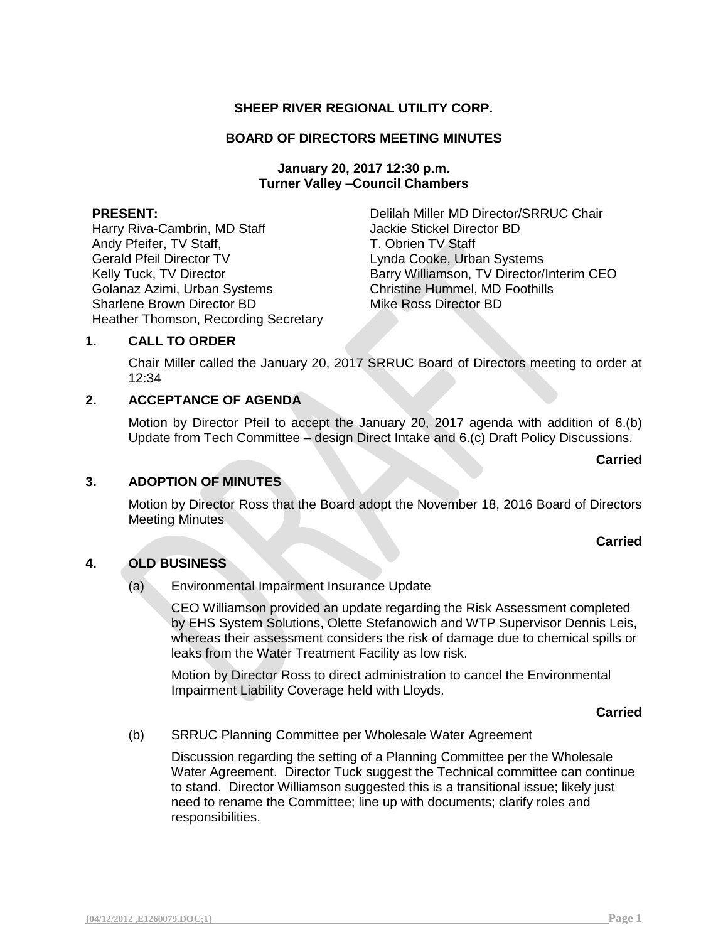# **SHEEP RIVER REGIONAL UTILITY CORP.**

### **BOARD OF DIRECTORS MEETING MINUTES**

**January 20, 2017 12:30 p.m. Turner Valley –Council Chambers**

Harry Riva-Cambrin, MD Staff Jackie Stickel Director BD Andy Pfeifer, TV Staff, The Contract of T. Obrien TV Staff Gerald Pfeil Director TV Lynda Cooke, Urban Systems Golanaz Azimi, Urban Systems Christine Hummel, MD Foothills Sharlene Brown Director BD Mike Ross Director BD Heather Thomson, Recording Secretary

**PRESENT:** Delilah Miller MD Director/SRRUC Chair Kelly Tuck, TV Director **Barry Williamson, TV Director/Interim CEO** 

## **1. CALL TO ORDER**

Chair Miller called the January 20, 2017 SRRUC Board of Directors meeting to order at 12:34

# **2. ACCEPTANCE OF AGENDA**

Motion by Director Pfeil to accept the January 20, 2017 agenda with addition of 6.(b) Update from Tech Committee – design Direct Intake and 6.(c) Draft Policy Discussions.

#### **Carried**

#### **3. ADOPTION OF MINUTES**

Motion by Director Ross that the Board adopt the November 18, 2016 Board of Directors Meeting Minutes

#### **Carried**

#### **4. OLD BUSINESS**

(a) Environmental Impairment Insurance Update

CEO Williamson provided an update regarding the Risk Assessment completed by EHS System Solutions, Olette Stefanowich and WTP Supervisor Dennis Leis, whereas their assessment considers the risk of damage due to chemical spills or leaks from the Water Treatment Facility as low risk.

Motion by Director Ross to direct administration to cancel the Environmental Impairment Liability Coverage held with Lloyds.

#### **Carried**

(b) SRRUC Planning Committee per Wholesale Water Agreement

Discussion regarding the setting of a Planning Committee per the Wholesale Water Agreement. Director Tuck suggest the Technical committee can continue to stand. Director Williamson suggested this is a transitional issue; likely just need to rename the Committee; line up with documents; clarify roles and responsibilities.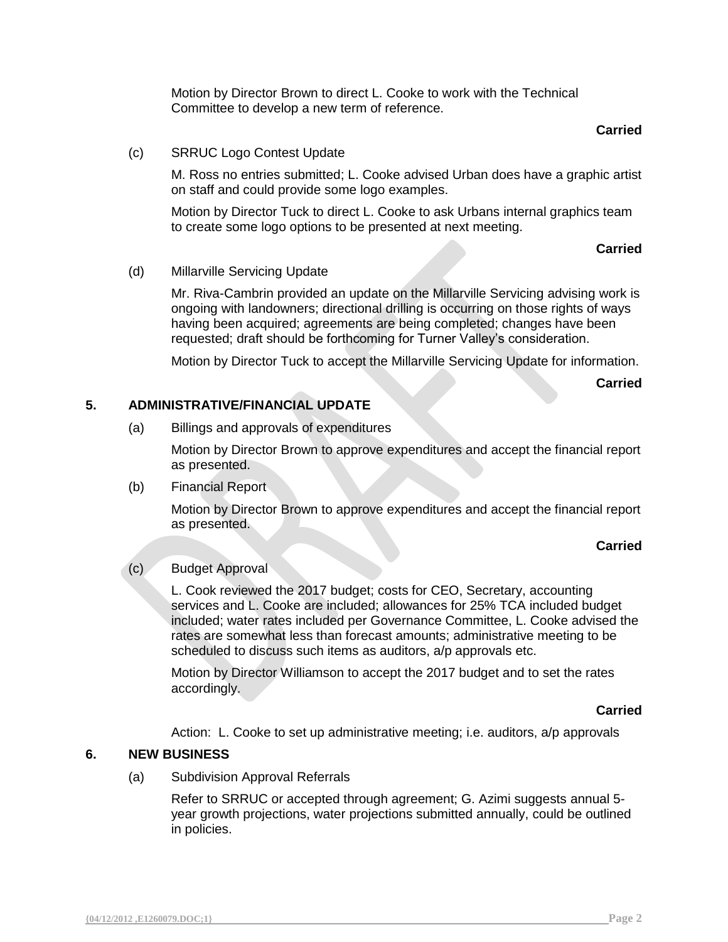Motion by Director Brown to direct L. Cooke to work with the Technical Committee to develop a new term of reference.

## **Carried**

#### (c) SRRUC Logo Contest Update

M. Ross no entries submitted; L. Cooke advised Urban does have a graphic artist on staff and could provide some logo examples.

Motion by Director Tuck to direct L. Cooke to ask Urbans internal graphics team to create some logo options to be presented at next meeting.

### **Carried**

### (d) Millarville Servicing Update

Mr. Riva-Cambrin provided an update on the Millarville Servicing advising work is ongoing with landowners; directional drilling is occurring on those rights of ways having been acquired; agreements are being completed; changes have been requested; draft should be forthcoming for Turner Valley's consideration.

Motion by Director Tuck to accept the Millarville Servicing Update for information.

**Carried**

## **5. ADMINISTRATIVE/FINANCIAL UPDATE**

(a) Billings and approvals of expenditures

Motion by Director Brown to approve expenditures and accept the financial report as presented.

(b) Financial Report

Motion by Director Brown to approve expenditures and accept the financial report as presented.

#### **Carried**

# (c) Budget Approval

L. Cook reviewed the 2017 budget; costs for CEO, Secretary, accounting services and L. Cooke are included; allowances for 25% TCA included budget included; water rates included per Governance Committee, L. Cooke advised the rates are somewhat less than forecast amounts; administrative meeting to be scheduled to discuss such items as auditors, a/p approvals etc.

Motion by Director Williamson to accept the 2017 budget and to set the rates accordingly.

#### **Carried**

Action: L. Cooke to set up administrative meeting; i.e. auditors, a/p approvals

## **6. NEW BUSINESS**

(a) Subdivision Approval Referrals

Refer to SRRUC or accepted through agreement; G. Azimi suggests annual 5 year growth projections, water projections submitted annually, could be outlined in policies.